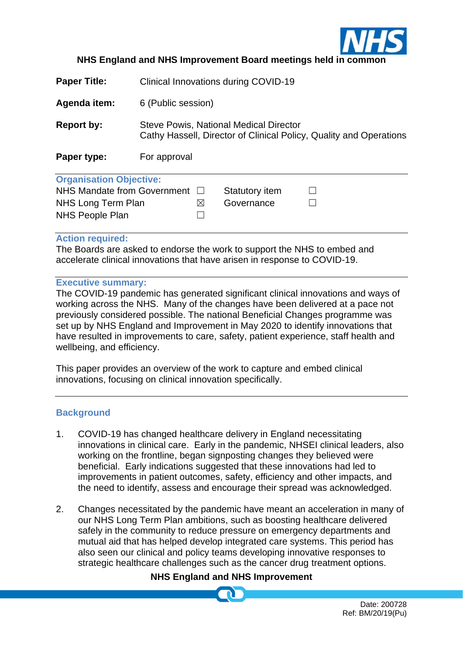

## **NHS England and NHS Improvement Board meetings held in common**

**Paper Title:** Clinical Innovations during COVID-19

**Agenda item:** 6 (Public session)

**Report by:** Steve Powis, National Medical Director Cathy Hassell, Director of Clinical Policy, Quality and Operations

**Paper type:** For approval

| <b>Organisation Objective:</b>        |           |                |  |
|---------------------------------------|-----------|----------------|--|
| NHS Mandate from Government $\square$ |           | Statutory item |  |
| NHS Long Term Plan                    | $\bowtie$ | Governance     |  |
| NHS People Plan                       |           |                |  |

#### **Action required:**

The Boards are asked to endorse the work to support the NHS to embed and accelerate clinical innovations that have arisen in response to COVID-19.

#### **Executive summary:**

The COVID-19 pandemic has generated significant clinical innovations and ways of working across the NHS. Many of the changes have been delivered at a pace not previously considered possible. The national Beneficial Changes programme was set up by NHS England and Improvement in May 2020 to identify innovations that have resulted in improvements to care, safety, patient experience, staff health and wellbeing, and efficiency.

This paper provides an overview of the work to capture and embed clinical innovations, focusing on clinical innovation specifically.

## **Background**

- 1. COVID-19 has changed healthcare delivery in England necessitating innovations in clinical care. Early in the pandemic, NHSEI clinical leaders, also working on the frontline, began signposting changes they believed were beneficial. Early indications suggested that these innovations had led to improvements in patient outcomes, safety, efficiency and other impacts, and the need to identify, assess and encourage their spread was acknowledged.
- 2. Changes necessitated by the pandemic have meant an acceleration in many of our NHS Long Term Plan ambitions, such as boosting healthcare delivered safely in the community to reduce pressure on emergency departments and mutual aid that has helped develop integrated care systems. This period has also seen our clinical and policy teams developing innovative responses to strategic healthcare challenges such as the cancer drug treatment options.

## **NHS England and NHS Improvement**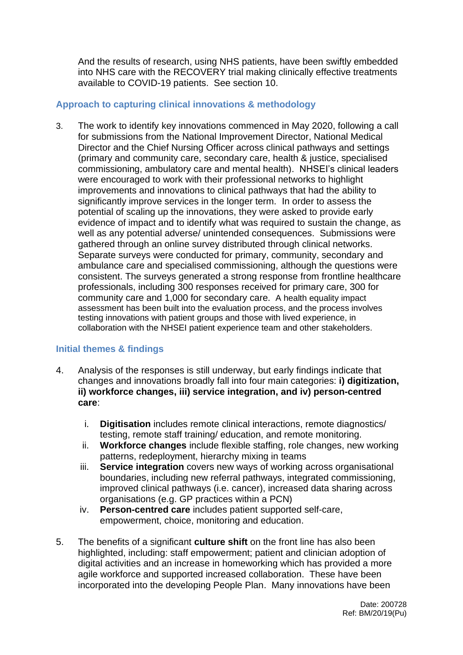And the results of research, using NHS patients, have been swiftly embedded into NHS care with the RECOVERY trial making clinically effective treatments available to COVID-19 patients. See section 10.

## **Approach to capturing clinical innovations & methodology**

3. The work to identify key innovations commenced in May 2020, following a call for submissions from the National Improvement Director, National Medical Director and the Chief Nursing Officer across clinical pathways and settings (primary and community care, secondary care, health & justice, specialised commissioning, ambulatory care and mental health). NHSEI's clinical leaders were encouraged to work with their professional networks to highlight improvements and innovations to clinical pathways that had the ability to significantly improve services in the longer term. In order to assess the potential of scaling up the innovations, they were asked to provide early evidence of impact and to identify what was required to sustain the change, as well as any potential adverse/ unintended consequences. Submissions were gathered through an online survey distributed through clinical networks. Separate surveys were conducted for primary, community, secondary and ambulance care and specialised commissioning, although the questions were consistent. The surveys generated a strong response from frontline healthcare professionals, including 300 responses received for primary care, 300 for community care and 1,000 for secondary care. A health equality impact assessment has been built into the evaluation process, and the process involves testing innovations with patient groups and those with lived experience, in collaboration with the NHSEI patient experience team and other stakeholders.

## **Initial themes & findings**

- 4. Analysis of the responses is still underway, but early findings indicate that changes and innovations broadly fall into four main categories: **i) digitization, ii) workforce changes, iii) service integration, and iv) person-centred care**:
	- i. **Digitisation** includes remote clinical interactions, remote diagnostics/ testing, remote staff training/ education, and remote monitoring.
	- ii. **Workforce changes** include flexible staffing, role changes, new working patterns, redeployment, hierarchy mixing in teams
	- iii. **Service integration** covers new ways of working across organisational boundaries, including new referral pathways, integrated commissioning, improved clinical pathways (i.e. cancer), increased data sharing across organisations (e.g. GP practices within a PCN)
	- iv. **Person-centred care** includes patient supported self-care, empowerment, choice, monitoring and education.
- 5. The benefits of a significant **culture shift** on the front line has also been highlighted, including: staff empowerment; patient and clinician adoption of digital activities and an increase in homeworking which has provided a more agile workforce and supported increased collaboration. These have been incorporated into the developing People Plan. Many innovations have been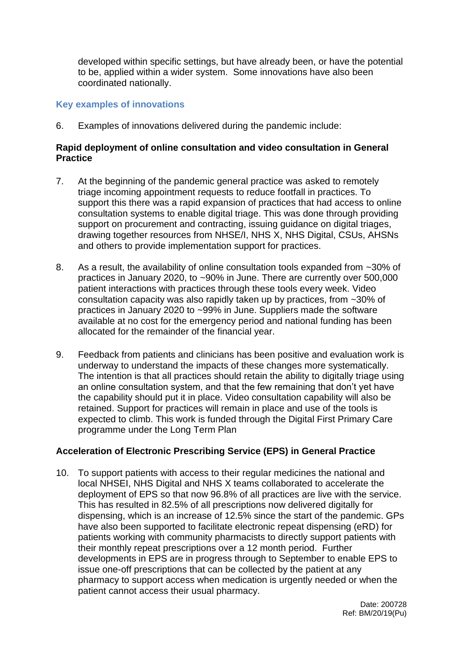developed within specific settings, but have already been, or have the potential to be, applied within a wider system. Some innovations have also been coordinated nationally.

## **Key examples of innovations**

6. Examples of innovations delivered during the pandemic include:

### **Rapid deployment of online consultation and video consultation in General Practice**

- 7. At the beginning of the pandemic general practice was asked to remotely triage incoming appointment requests to reduce footfall in practices. To support this there was a rapid expansion of practices that had access to online consultation systems to enable digital triage. This was done through providing support on procurement and contracting, issuing guidance on digital triages, drawing together resources from NHSE/I, NHS X, NHS Digital, CSUs, AHSNs and others to provide implementation support for practices.
- 8. As a result, the availability of online consultation tools expanded from ~30% of practices in January 2020, to ~90% in June. There are currently over 500,000 patient interactions with practices through these tools every week. Video consultation capacity was also rapidly taken up by practices, from ~30% of practices in January 2020 to ~99% in June. Suppliers made the software available at no cost for the emergency period and national funding has been allocated for the remainder of the financial year.
- 9. Feedback from patients and clinicians has been positive and evaluation work is underway to understand the impacts of these changes more systematically. The intention is that all practices should retain the ability to digitally triage using an online consultation system, and that the few remaining that don't yet have the capability should put it in place. Video consultation capability will also be retained. Support for practices will remain in place and use of the tools is expected to climb. This work is funded through the Digital First Primary Care programme under the Long Term Plan

#### **Acceleration of Electronic Prescribing Service (EPS) in General Practice**

10. To support patients with access to their regular medicines the national and local NHSEI, NHS Digital and NHS X teams collaborated to accelerate the deployment of EPS so that now 96.8% of all practices are live with the service. This has resulted in 82.5% of all prescriptions now delivered digitally for dispensing, which is an increase of 12.5% since the start of the pandemic. GPs have also been supported to facilitate electronic repeat dispensing (eRD) for patients working with community pharmacists to directly support patients with their monthly repeat prescriptions over a 12 month period. Further developments in EPS are in progress through to September to enable EPS to issue one-off prescriptions that can be collected by the patient at any pharmacy to support access when medication is urgently needed or when the patient cannot access their usual pharmacy.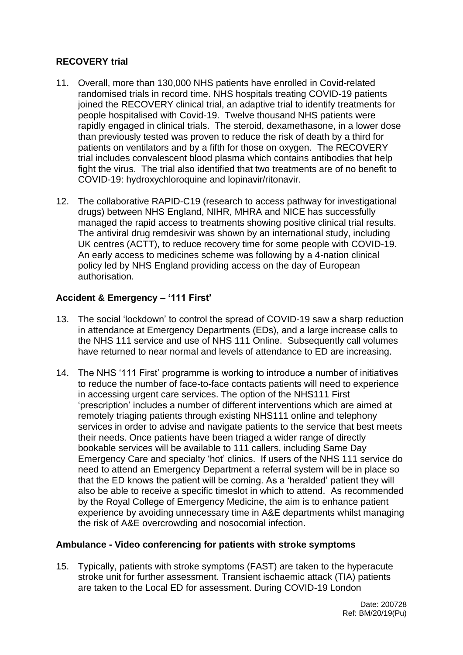# **RECOVERY trial**

- 11. Overall, more than 130,000 NHS patients have enrolled in Covid-related randomised trials in record time. NHS hospitals treating COVID-19 patients joined the RECOVERY clinical trial, an adaptive trial to identify treatments for people hospitalised with Covid-19. Twelve thousand NHS patients were rapidly engaged in clinical trials. The steroid, dexamethasone, in a lower dose than previously tested was proven to reduce the risk of death by a third for patients on ventilators and by a fifth for those on oxygen. The RECOVERY trial includes convalescent blood plasma which contains antibodies that help fight the virus. The trial also identified that two treatments are of no benefit to COVID-19: hydroxychloroquine and lopinavir/ritonavir.
- 12. The collaborative RAPID-C19 (research to access pathway for investigational drugs) between NHS England, NIHR, MHRA and NICE has successfully managed the rapid access to treatments showing positive clinical trial results. The antiviral drug remdesivir was shown by an international study, including UK centres (ACTT), to reduce recovery time for some people with COVID-19. An early access to medicines scheme was following by a 4-nation clinical policy led by NHS England providing access on the day of European authorisation.

# **Accident & Emergency – '111 First'**

- 13. The social 'lockdown' to control the spread of COVID-19 saw a sharp reduction in attendance at Emergency Departments (EDs), and a large increase calls to the NHS 111 service and use of NHS 111 Online. Subsequently call volumes have returned to near normal and levels of attendance to ED are increasing.
- 14. The NHS '111 First' programme is working to introduce a number of initiatives to reduce the number of face-to-face contacts patients will need to experience in accessing urgent care services. The option of the NHS111 First 'prescription' includes a number of different interventions which are aimed at remotely triaging patients through existing NHS111 online and telephony services in order to advise and navigate patients to the service that best meets their needs. Once patients have been triaged a wider range of directly bookable services will be available to 111 callers, including Same Day Emergency Care and specialty 'hot' clinics. If users of the NHS 111 service do need to attend an Emergency Department a referral system will be in place so that the ED knows the patient will be coming. As a 'heralded' patient they will also be able to receive a specific timeslot in which to attend. As recommended by the Royal College of Emergency Medicine, the aim is to enhance patient experience by avoiding unnecessary time in A&E departments whilst managing the risk of A&E overcrowding and nosocomial infection.

## **Ambulance - Video conferencing for patients with stroke symptoms**

15. Typically, patients with stroke symptoms (FAST) are taken to the hyperacute stroke unit for further assessment. Transient ischaemic attack (TIA) patients are taken to the Local ED for assessment. During COVID-19 London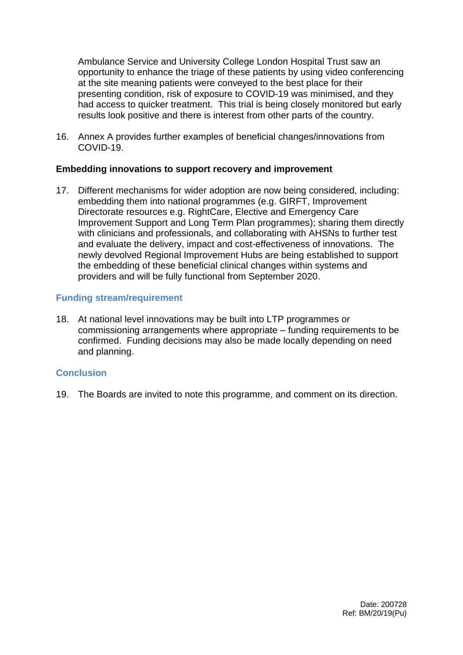Ambulance Service and University College London Hospital Trust saw an opportunity to enhance the triage of these patients by using video conferencing at the site meaning patients were conveyed to the best place for their presenting condition, risk of exposure to COVID-19 was minimised, and they had access to quicker treatment. This trial is being closely monitored but early results look positive and there is interest from other parts of the country.

16. Annex A provides further examples of beneficial changes/innovations from COVID-19.

### **Embedding innovations to support recovery and improvement**

17. Different mechanisms for wider adoption are now being considered, including: embedding them into national programmes (e.g. GIRFT, Improvement Directorate resources e.g. RightCare, Elective and Emergency Care Improvement Support and Long Term Plan programmes); sharing them directly with clinicians and professionals, and collaborating with AHSNs to further test and evaluate the delivery, impact and cost-effectiveness of innovations. The newly devolved Regional Improvement Hubs are being established to support the embedding of these beneficial clinical changes within systems and providers and will be fully functional from September 2020.

## **Funding stream/requirement**

18. At national level innovations may be built into LTP programmes or commissioning arrangements where appropriate – funding requirements to be confirmed. Funding decisions may also be made locally depending on need and planning.

## **Conclusion**

19. The Boards are invited to note this programme, and comment on its direction.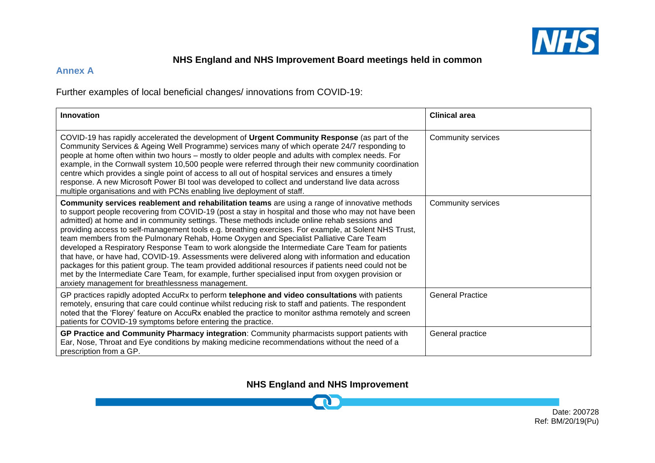

# **NHS England and NHS Improvement Board meetings held in common**

### **Annex A**

Further examples of local beneficial changes/ innovations from COVID-19:

| Innovation                                                                                                                                                                                                                                                                                                                                                                                                                                                                                                                                                                                                                                                                                                                                                                                                                                                                                                                                                                           | <b>Clinical area</b>    |
|--------------------------------------------------------------------------------------------------------------------------------------------------------------------------------------------------------------------------------------------------------------------------------------------------------------------------------------------------------------------------------------------------------------------------------------------------------------------------------------------------------------------------------------------------------------------------------------------------------------------------------------------------------------------------------------------------------------------------------------------------------------------------------------------------------------------------------------------------------------------------------------------------------------------------------------------------------------------------------------|-------------------------|
| COVID-19 has rapidly accelerated the development of Urgent Community Response (as part of the<br>Community Services & Ageing Well Programme) services many of which operate 24/7 responding to<br>people at home often within two hours – mostly to older people and adults with complex needs. For<br>example, in the Cornwall system 10,500 people were referred through their new community coordination<br>centre which provides a single point of access to all out of hospital services and ensures a timely<br>response. A new Microsoft Power BI tool was developed to collect and understand live data across<br>multiple organisations and with PCNs enabling live deployment of staff.                                                                                                                                                                                                                                                                                    | Community services      |
| Community services reablement and rehabilitation teams are using a range of innovative methods<br>to support people recovering from COVID-19 (post a stay in hospital and those who may not have been<br>admitted) at home and in community settings. These methods include online rehab sessions and<br>providing access to self-management tools e.g. breathing exercises. For example, at Solent NHS Trust,<br>team members from the Pulmonary Rehab, Home Oxygen and Specialist Palliative Care Team<br>developed a Respiratory Response Team to work alongside the Intermediate Care Team for patients<br>that have, or have had, COVID-19. Assessments were delivered along with information and education<br>packages for this patient group. The team provided additional resources if patients need could not be<br>met by the Intermediate Care Team, for example, further specialised input from oxygen provision or<br>anxiety management for breathlessness management. | Community services      |
| GP practices rapidly adopted AccuRx to perform telephone and video consultations with patients<br>remotely, ensuring that care could continue whilst reducing risk to staff and patients. The respondent<br>noted that the 'Florey' feature on AccuRx enabled the practice to monitor asthma remotely and screen<br>patients for COVID-19 symptoms before entering the practice.                                                                                                                                                                                                                                                                                                                                                                                                                                                                                                                                                                                                     | <b>General Practice</b> |
| GP Practice and Community Pharmacy integration: Community pharmacists support patients with<br>Ear, Nose, Throat and Eye conditions by making medicine recommendations without the need of a<br>prescription from a GP.                                                                                                                                                                                                                                                                                                                                                                                                                                                                                                                                                                                                                                                                                                                                                              | General practice        |

**NHS England and NHS Improvement**

 $\blacksquare$